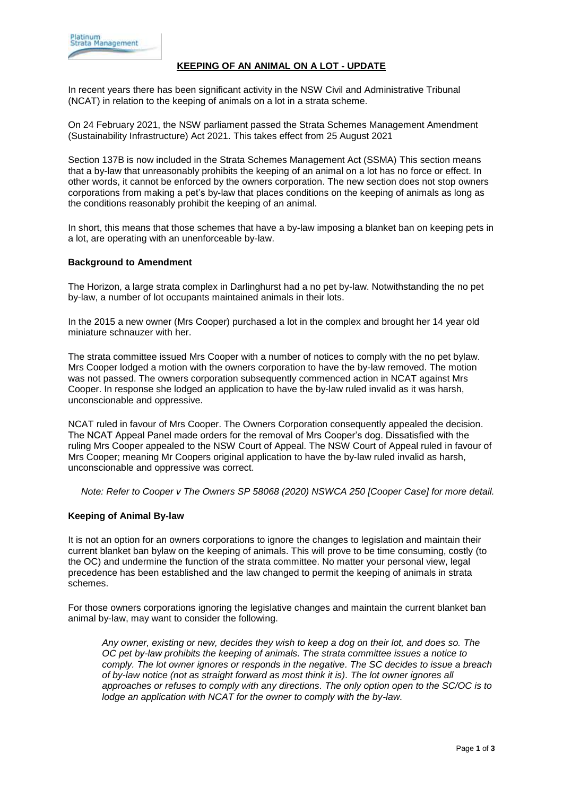# **KEEPING OF AN ANIMAL ON A LOT - UPDATE**

In recent years there has been significant activity in the NSW Civil and Administrative Tribunal (NCAT) in relation to the keeping of animals on a lot in a strata scheme.

On 24 February 2021, the NSW parliament passed the Strata Schemes Management Amendment (Sustainability Infrastructure) Act 2021. This takes effect from 25 August 2021

Section 137B is now included in the Strata Schemes Management Act (SSMA) This section means that a by-law that unreasonably prohibits the keeping of an animal on a lot has no force or effect. In other words, it cannot be enforced by the owners corporation. The new section does not stop owners corporations from making a pet's by-law that places conditions on the keeping of animals as long as the conditions reasonably prohibit the keeping of an animal.

In short, this means that those schemes that have a by-law imposing a blanket ban on keeping pets in a lot, are operating with an unenforceable by-law.

#### **Background to Amendment**

The Horizon, a large strata complex in Darlinghurst had a no pet by-law. Notwithstanding the no pet by-law, a number of lot occupants maintained animals in their lots.

In the 2015 a new owner (Mrs Cooper) purchased a lot in the complex and brought her 14 year old miniature schnauzer with her.

The strata committee issued Mrs Cooper with a number of notices to comply with the no pet bylaw. Mrs Cooper lodged a motion with the owners corporation to have the by-law removed. The motion was not passed. The owners corporation subsequently commenced action in NCAT against Mrs Cooper. In response she lodged an application to have the by-law ruled invalid as it was harsh, unconscionable and oppressive.

NCAT ruled in favour of Mrs Cooper. The Owners Corporation consequently appealed the decision. The NCAT Appeal Panel made orders for the removal of Mrs Cooper's dog. Dissatisfied with the ruling Mrs Cooper appealed to the NSW Court of Appeal. The NSW Court of Appeal ruled in favour of Mrs Cooper; meaning Mr Coopers original application to have the by-law ruled invalid as harsh, unconscionable and oppressive was correct.

*Note: Refer to Cooper v The Owners SP 58068 (2020) NSWCA 250 [Cooper Case] for more detail.*

#### **Keeping of Animal By-law**

It is not an option for an owners corporations to ignore the changes to legislation and maintain their current blanket ban bylaw on the keeping of animals. This will prove to be time consuming, costly (to the OC) and undermine the function of the strata committee. No matter your personal view, legal precedence has been established and the law changed to permit the keeping of animals in strata schemes.

For those owners corporations ignoring the legislative changes and maintain the current blanket ban animal by-law, may want to consider the following.

*Any owner, existing or new, decides they wish to keep a dog on their lot, and does so. The OC pet by-law prohibits the keeping of animals. The strata committee issues a notice to comply. The lot owner ignores or responds in the negative. The SC decides to issue a breach of by-law notice (not as straight forward as most think it is). The lot owner ignores all approaches or refuses to comply with any directions. The only option open to the SC/OC is to lodge an application with NCAT for the owner to comply with the by-law.*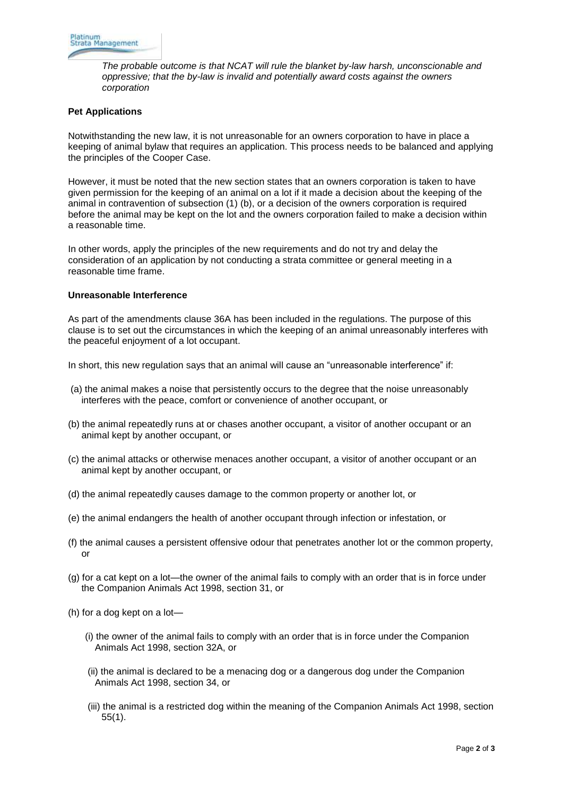*The probable outcome is that NCAT will rule the blanket by-law harsh, unconscionable and oppressive; that the by-law is invalid and potentially award costs against the owners corporation*

### **Pet Applications**

Notwithstanding the new law, it is not unreasonable for an owners corporation to have in place a keeping of animal bylaw that requires an application. This process needs to be balanced and applying the principles of the Cooper Case.

However, it must be noted that the new section states that an owners corporation is taken to have given permission for the keeping of an animal on a lot if it made a decision about the keeping of the animal in contravention of subsection (1) (b), or a decision of the owners corporation is required before the animal may be kept on the lot and the owners corporation failed to make a decision within a reasonable time.

In other words, apply the principles of the new requirements and do not try and delay the consideration of an application by not conducting a strata committee or general meeting in a reasonable time frame.

## **Unreasonable Interference**

As part of the amendments clause 36A has been included in the regulations. The purpose of this clause is to set out the circumstances in which the keeping of an animal unreasonably interferes with the peaceful enjoyment of a lot occupant.

In short, this new regulation says that an animal will cause an "unreasonable interference" if:

- (a) the animal makes a noise that persistently occurs to the degree that the noise unreasonably interferes with the peace, comfort or convenience of another occupant, or
- (b) the animal repeatedly runs at or chases another occupant, a visitor of another occupant or an animal kept by another occupant, or
- (c) the animal attacks or otherwise menaces another occupant, a visitor of another occupant or an animal kept by another occupant, or
- (d) the animal repeatedly causes damage to the common property or another lot, or
- (e) the animal endangers the health of another occupant through infection or infestation, or
- (f) the animal causes a persistent offensive odour that penetrates another lot or the common property, or
- (g) for a cat kept on a lot—the owner of the animal fails to comply with an order that is in force under the Companion Animals Act 1998, section 31, or
- (h) for a dog kept on a lot—
	- (i) the owner of the animal fails to comply with an order that is in force under the Companion Animals Act 1998, section 32A, or
	- (ii) the animal is declared to be a menacing dog or a dangerous dog under the Companion Animals Act 1998, section 34, or
	- (iii) the animal is a restricted dog within the meaning of the Companion Animals Act 1998, section 55(1).